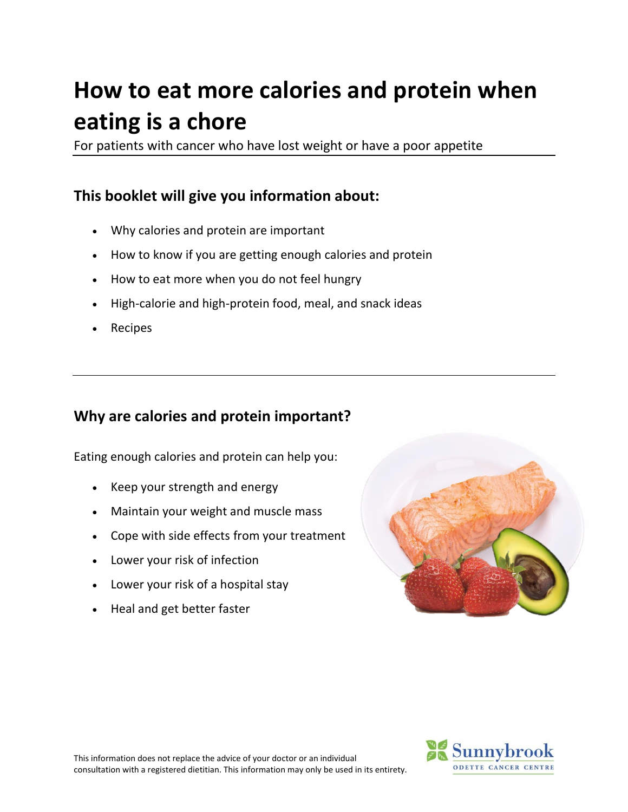# **How to eat more calories and protein when eating is a chore**

For patients with cancer who have lost weight or have a poor appetite

# **This booklet will give you information about:**

- Why calories and protein are important
- How to know if you are getting enough calories and protein
- How to eat more when you do not feel hungry
- High-calorie and high-protein food, meal, and snack ideas
- Recipes

# **Why are calories and protein important?**

Eating enough calories and protein can help you:

- Keep your strength and energy
- Maintain your weight and muscle mass
- Cope with side effects from your treatment
- Lower your risk of infection
- Lower your risk of a hospital stay
- Heal and get better faster





This information does not replace the advice of your doctor or an individual consultation with a registered dietitian. This information may only be used in its entirety.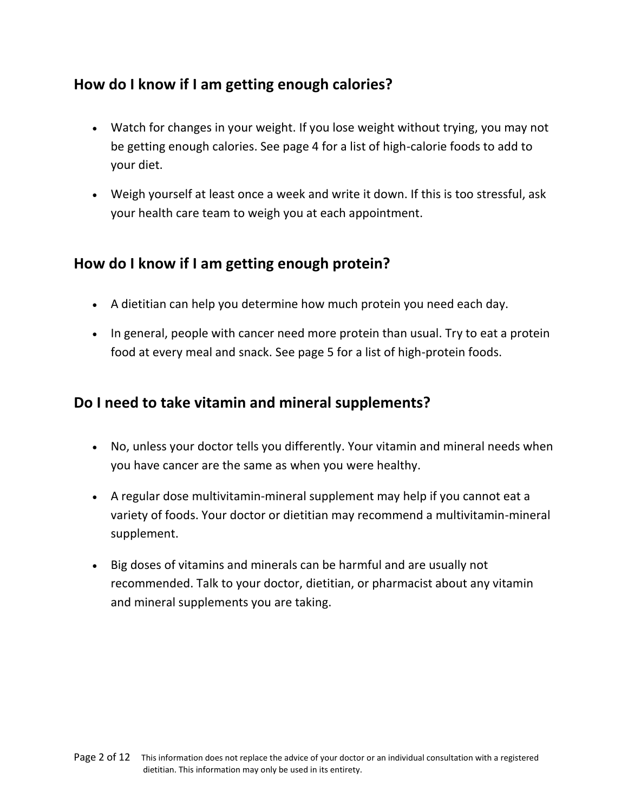# **How do I know if I am getting enough calories?**

- Watch for changes in your weight. If you lose weight without trying, you may not be getting enough calories. See page 4 for a list of high-calorie foods to add to your diet.
- Weigh yourself at least once a week and write it down. If this is too stressful, ask your health care team to weigh you at each appointment.

# **How do I know if I am getting enough protein?**

- A dietitian can help you determine how much protein you need each day.
- In general, people with cancer need more protein than usual. Try to eat a protein food at every meal and snack. See page 5 for a list of high-protein foods.

# **Do I need to take vitamin and mineral supplements?**

- No, unless your doctor tells you differently. Your vitamin and mineral needs when you have cancer are the same as when you were healthy.
- A regular dose multivitamin-mineral supplement may help if you cannot eat a variety of foods. Your doctor or dietitian may recommend a multivitamin-mineral supplement.
- Big doses of vitamins and minerals can be harmful and are usually not recommended. Talk to your doctor, dietitian, or pharmacist about any vitamin and mineral supplements you are taking.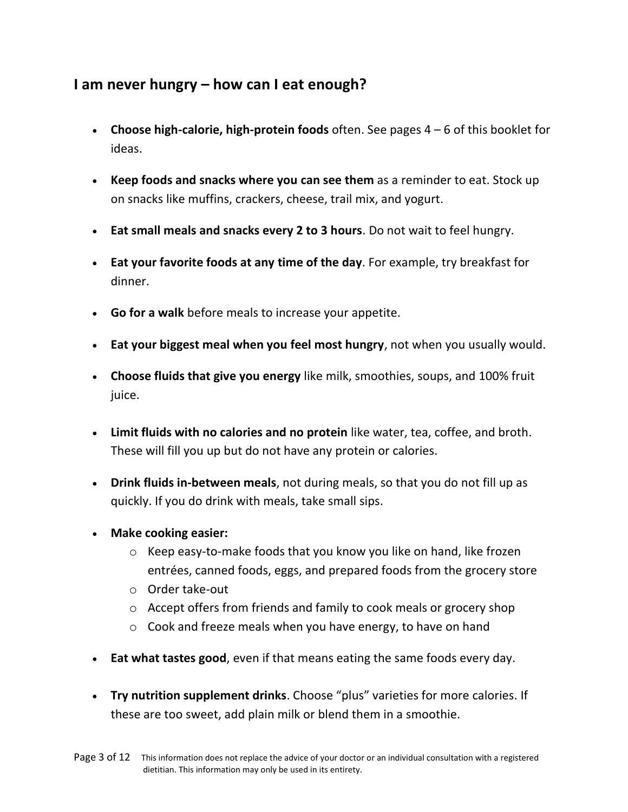# **I am never hungry – how can I eat enough?**

- **Choose high-calorie, high-protein foods** often. See pages 4 6 of this booklet for ideas.
- **Keep foods and snacks where you can see them** as a reminder to eat. Stock up on snacks like muffins, crackers, cheese, trail mix, and yogurt.
- **Eat small meals and snacks every 2 to 3 hours**. Do not wait to feel hungry.
- **Eat your favorite foods at any time of the day**. For example, try breakfast for dinner.
- **Go for a walk** before meals to increase your appetite.
- **Eat your biggest meal when you feel most hungry**, not when you usually would.
- **Choose fluids that give you energy** like milk, smoothies, soups, and 100% fruit juice.
- **Limit fluids with no calories and no protein** like water, tea, coffee, and broth. These will fill you up but do not have any protein or calories.
- **Drink fluids in-between meals**, not during meals, so that you do not fill up as quickly. If you do drink with meals, take small sips.
- **Make cooking easier:**
	- o Keep easy-to-make foods that you know you like on hand, like frozen entrées, canned foods, eggs, and prepared foods from the grocery store
	- o Order take-out
	- o Accept offers from friends and family to cook meals or grocery shop
	- o Cook and freeze meals when you have energy, to have on hand
- **Eat what tastes good**, even if that means eating the same foods every day.
- **Try nutrition supplement drinks**. Choose "plus" varieties for more calories. If these are too sweet, add plain milk or blend them in a smoothie.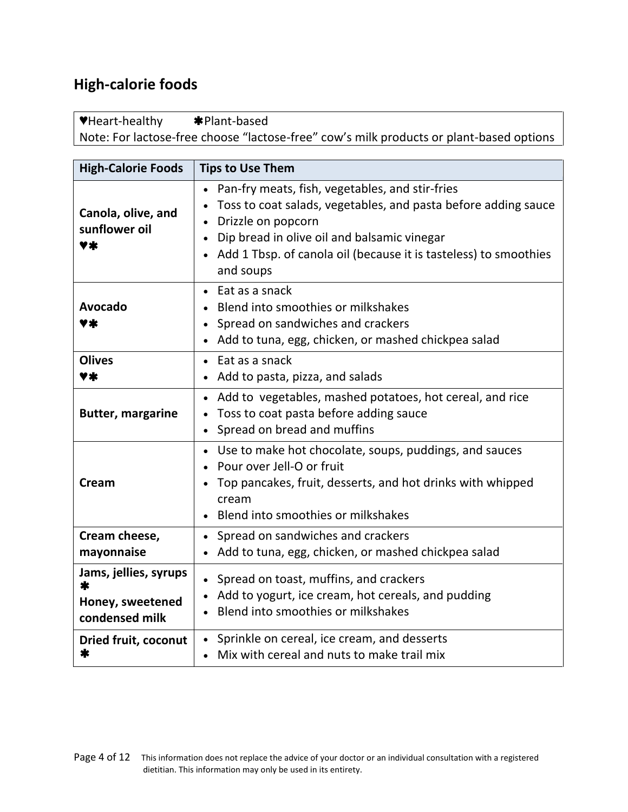# **High-calorie foods**

**♥**Heart-healthy Plant-based Note: For lactose-free choose "lactose-free" cow's milk products or plant-based options

| <b>High-Calorie Foods</b>                                        | <b>Tips to Use Them</b>                                                                                                                                                                                                                                                   |
|------------------------------------------------------------------|---------------------------------------------------------------------------------------------------------------------------------------------------------------------------------------------------------------------------------------------------------------------------|
| Canola, olive, and<br>sunflower oil<br>♥≭                        | Pan-fry meats, fish, vegetables, and stir-fries<br>Toss to coat salads, vegetables, and pasta before adding sauce<br>Drizzle on popcorn<br>Dip bread in olive oil and balsamic vinegar<br>• Add 1 Tbsp. of canola oil (because it is tasteless) to smoothies<br>and soups |
| <b>Avocado</b><br>7 Ж                                            | $\bullet$ Eat as a snack<br>Blend into smoothies or milkshakes<br>Spread on sandwiches and crackers<br>$\bullet$<br>• Add to tuna, egg, chicken, or mashed chickpea salad                                                                                                 |
| <b>Olives</b><br>Y*                                              | $\bullet$ Eat as a snack<br>Add to pasta, pizza, and salads                                                                                                                                                                                                               |
| <b>Butter, margarine</b>                                         | • Add to vegetables, mashed potatoes, hot cereal, and rice<br>Toss to coat pasta before adding sauce<br>Spread on bread and muffins                                                                                                                                       |
| Cream                                                            | Use to make hot chocolate, soups, puddings, and sauces<br>Pour over Jell-O or fruit<br>Top pancakes, fruit, desserts, and hot drinks with whipped<br>cream<br>• Blend into smoothies or milkshakes                                                                        |
| Cream cheese,<br>mayonnaise                                      | • Spread on sandwiches and crackers<br>Add to tuna, egg, chicken, or mashed chickpea salad                                                                                                                                                                                |
| Jams, jellies, syrups<br>米<br>Honey, sweetened<br>condensed milk | Spread on toast, muffins, and crackers<br>• Add to yogurt, ice cream, hot cereals, and pudding<br>Blend into smoothies or milkshakes                                                                                                                                      |
| <b>Dried fruit, coconut</b><br>*                                 | • Sprinkle on cereal, ice cream, and desserts<br>• Mix with cereal and nuts to make trail mix                                                                                                                                                                             |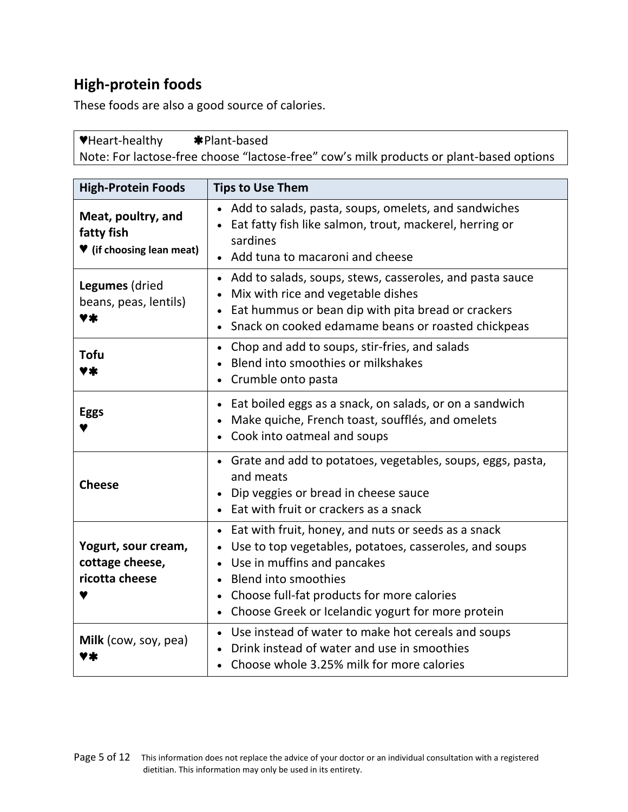# **High-protein foods**

These foods are also a good source of calories.

**♥**Heart-healthy Plant-based Note: For lactose-free choose "lactose-free" cow's milk products or plant-based options

| <b>High-Protein Foods</b>                                     | <b>Tips to Use Them</b>                                                                                                                                                                                                                                                                     |
|---------------------------------------------------------------|---------------------------------------------------------------------------------------------------------------------------------------------------------------------------------------------------------------------------------------------------------------------------------------------|
| Meat, poultry, and<br>fatty fish<br>♥ (if choosing lean meat) | Add to salads, pasta, soups, omelets, and sandwiches<br>Eat fatty fish like salmon, trout, mackerel, herring or<br>sardines<br>Add tuna to macaroni and cheese                                                                                                                              |
| Legumes (dried<br>beans, peas, lentils)<br>7*                 | Add to salads, soups, stews, casseroles, and pasta sauce<br>$\bullet$<br>Mix with rice and vegetable dishes<br>Eat hummus or bean dip with pita bread or crackers<br>Snack on cooked edamame beans or roasted chickpeas                                                                     |
| <b>Tofu</b><br>♥≭                                             | Chop and add to soups, stir-fries, and salads<br>Blend into smoothies or milkshakes<br>Crumble onto pasta                                                                                                                                                                                   |
| <b>Eggs</b>                                                   | Eat boiled eggs as a snack, on salads, or on a sandwich<br>Make quiche, French toast, soufflés, and omelets<br>Cook into oatmeal and soups                                                                                                                                                  |
| <b>Cheese</b>                                                 | Grate and add to potatoes, vegetables, soups, eggs, pasta,<br>and meats<br>Dip veggies or bread in cheese sauce<br>Eat with fruit or crackers as a snack                                                                                                                                    |
| Yogurt, sour cream,<br>cottage cheese,<br>ricotta cheese      | Eat with fruit, honey, and nuts or seeds as a snack<br>Use to top vegetables, potatoes, casseroles, and soups<br>Use in muffins and pancakes<br><b>Blend into smoothies</b><br>Choose full-fat products for more calories<br>Choose Greek or Icelandic yogurt for more protein<br>$\bullet$ |
| Milk (cow, soy, pea)                                          | Use instead of water to make hot cereals and soups<br>Drink instead of water and use in smoothies<br>Choose whole 3.25% milk for more calories                                                                                                                                              |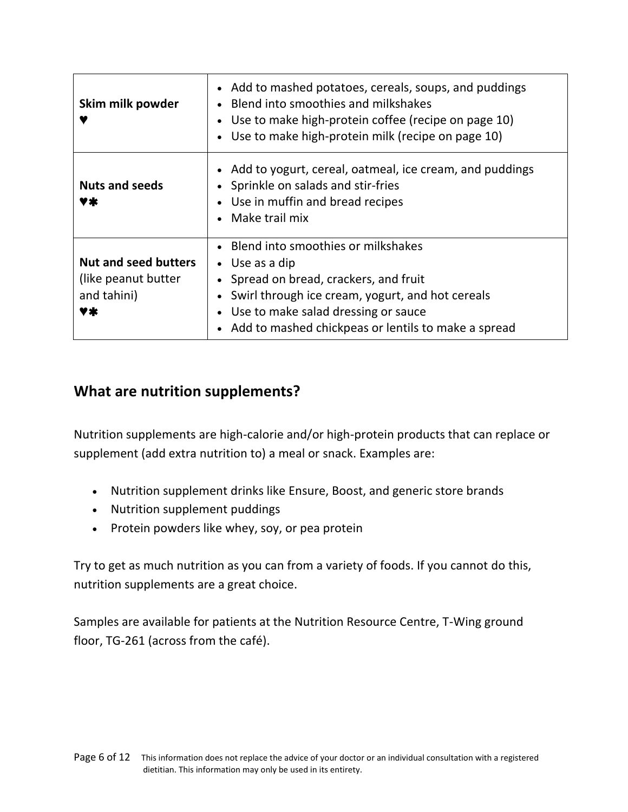| Skim milk powder                                                        | • Add to mashed potatoes, cereals, soups, and puddings<br>Blend into smoothies and milkshakes<br>Use to make high-protein coffee (recipe on page 10)<br>Use to make high-protein milk (recipe on page 10)                                                |
|-------------------------------------------------------------------------|----------------------------------------------------------------------------------------------------------------------------------------------------------------------------------------------------------------------------------------------------------|
| <b>Nuts and seeds</b><br>V≭                                             | Add to yogurt, cereal, oatmeal, ice cream, and puddings<br>Sprinkle on salads and stir-fries<br>• Use in muffin and bread recipes<br>Make trail mix                                                                                                      |
| <b>Nut and seed butters</b><br>(like peanut butter<br>and tahini)<br>Y* | • Blend into smoothies or milkshakes<br>$\bullet$ Use as a dip<br>Spread on bread, crackers, and fruit<br>Swirl through ice cream, yogurt, and hot cereals<br>Use to make salad dressing or sauce<br>Add to mashed chickpeas or lentils to make a spread |

# **What are nutrition supplements?**

Nutrition supplements are high-calorie and/or high-protein products that can replace or supplement (add extra nutrition to) a meal or snack. Examples are:

- Nutrition supplement drinks like Ensure, Boost, and generic store brands
- Nutrition supplement puddings
- Protein powders like whey, soy, or pea protein

Try to get as much nutrition as you can from a variety of foods. If you cannot do this, nutrition supplements are a great choice.

Samples are available for patients at the Nutrition Resource Centre, T-Wing ground floor, TG-261 (across from the café).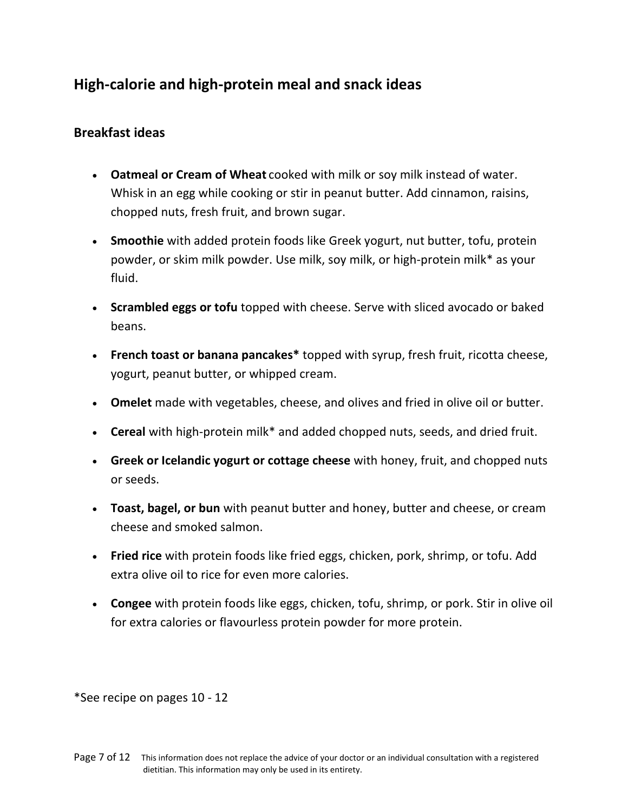# **High-calorie and high-protein meal and snack ideas**

### **Breakfast ideas**

- **Oatmeal or Cream of Wheat** cooked with milk or soy milk instead of water. Whisk in an egg while cooking or stir in peanut butter. Add cinnamon, raisins, chopped nuts, fresh fruit, and brown sugar.
- **Smoothie** with added protein foods like Greek yogurt, nut butter, tofu, protein powder, or skim milk powder. Use milk, soy milk, or high-protein milk\* as your fluid.
- **Scrambled eggs or tofu** topped with cheese. Serve with sliced avocado or baked beans.
- **French toast or banana pancakes\*** topped with syrup, fresh fruit, ricotta cheese, yogurt, peanut butter, or whipped cream.
- **Omelet** made with vegetables, cheese, and olives and fried in olive oil or butter.
- **Cereal** with high-protein milk\* and added chopped nuts, seeds, and dried fruit.
- **Greek or Icelandic yogurt or cottage cheese** with honey, fruit, and chopped nuts or seeds.
- **Toast, bagel, or bun** with peanut butter and honey, butter and cheese, or cream cheese and smoked salmon.
- **Fried rice** with protein foods like fried eggs, chicken, pork, shrimp, or tofu. Add extra olive oil to rice for even more calories.
- **Congee** with protein foods like eggs, chicken, tofu, shrimp, or pork. Stir in olive oil for extra calories or flavourless protein powder for more protein.

\*See recipe on pages 10 - 12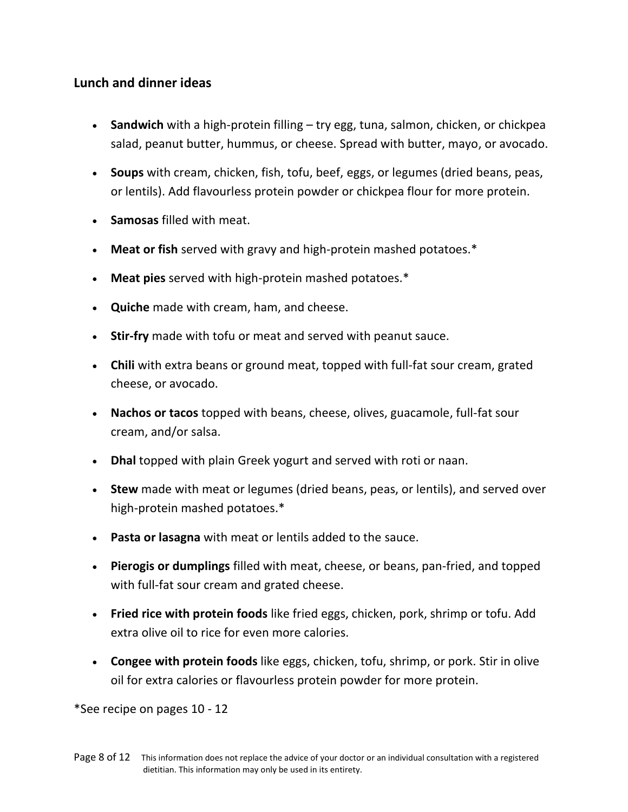## **Lunch and dinner ideas**

- **Sandwich** with a high-protein filling try egg, tuna, salmon, chicken, or chickpea salad, peanut butter, hummus, or cheese. Spread with butter, mayo, or avocado.
- **Soups** with cream, chicken, fish, tofu, beef, eggs, or legumes (dried beans, peas, or lentils). Add flavourless protein powder or chickpea flour for more protein.
- **Samosas** filled with meat.
- **Meat or fish** served with gravy and high-protein mashed potatoes.\*
- **Meat pies** served with high-protein mashed potatoes.\*
- **Quiche** made with cream, ham, and cheese.
- **Stir-fry** made with tofu or meat and served with peanut sauce.
- **Chili** with extra beans or ground meat, topped with full-fat sour cream, grated cheese, or avocado.
- **Nachos or tacos** topped with beans, cheese, olives, guacamole, full-fat sour cream, and/or salsa.
- **Dhal** topped with plain Greek yogurt and served with roti or naan.
- **Stew** made with meat or legumes (dried beans, peas, or lentils), and served over high-protein mashed potatoes.\*
- **Pasta or lasagna** with meat or lentils added to the sauce.
- **Pierogis or dumplings** filled with meat, cheese, or beans, pan-fried, and topped with full-fat sour cream and grated cheese.
- **Fried rice with protein foods** like fried eggs, chicken, pork, shrimp or tofu. Add extra olive oil to rice for even more calories.
- **Congee with protein foods** like eggs, chicken, tofu, shrimp, or pork. Stir in olive oil for extra calories or flavourless protein powder for more protein.

\*See recipe on pages 10 - 12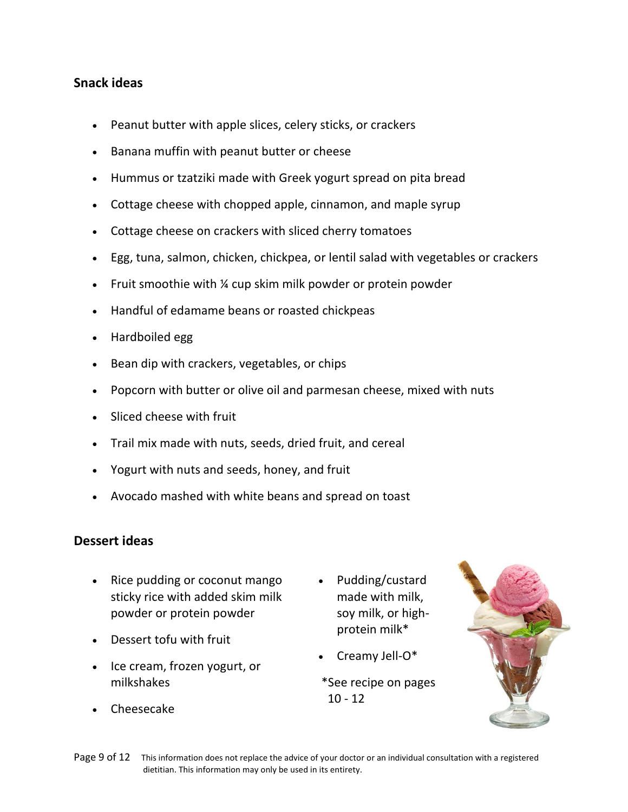## **Snack ideas**

- Peanut butter with apple slices, celery sticks, or crackers
- Banana muffin with peanut butter or cheese
- Hummus or tzatziki made with Greek yogurt spread on pita bread
- Cottage cheese with chopped apple, cinnamon, and maple syrup
- Cottage cheese on crackers with sliced cherry tomatoes
- Egg, tuna, salmon, chicken, chickpea, or lentil salad with vegetables or crackers
- Fruit smoothie with  $\frac{1}{4}$  cup skim milk powder or protein powder
- Handful of edamame beans or roasted chickpeas
- Hardboiled egg
- Bean dip with crackers, vegetables, or chips
- Popcorn with butter or olive oil and parmesan cheese, mixed with nuts
- Sliced cheese with fruit
- Trail mix made with nuts, seeds, dried fruit, and cereal
- Yogurt with nuts and seeds, honey, and fruit
- Avocado mashed with white beans and spread on toast

#### **Dessert ideas**

- Rice pudding or coconut mango sticky rice with added skim milk powder or protein powder
- Dessert tofu with fruit
- Ice cream, frozen yogurt, or milkshakes
- Cheesecake
- Pudding/custard made with milk, soy milk, or highprotein milk\*
- Creamy Jell-O\*
- \*See recipe on pages  $10 - 12$

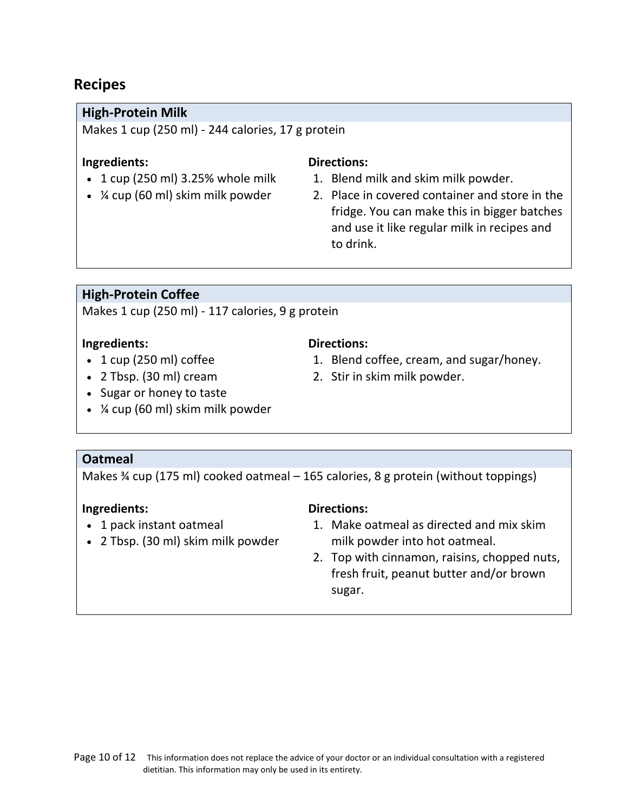# **Recipes**

### **High-Protein Milk**

Makes 1 cup (250 ml) - 244 calories, 17 g protein

#### **Ingredients:**

- $\cdot$  1 cup (250 ml) 3.25% whole milk
- ¼ cup (60 ml) skim milk powder

#### **Directions:**

- 1. Blend milk and skim milk powder.
- 2. Place in covered container and store in the fridge. You can make this in bigger batches and use it like regular milk in recipes and to drink.

### **High-Protein Coffee**

Makes 1 cup (250 ml) - 117 calories, 9 g protein

#### **Ingredients:**

- $\cdot$  1 cup (250 ml) coffee
- 2 Tbsp. (30 ml) cream

### **Directions:**

- 1. Blend coffee, cream, and sugar/honey.
- 2. Stir in skim milk powder.
- Sugar or honey to taste
- ¼ cup (60 ml) skim milk powder

### **Oatmeal**

Makes ¾ cup (175 ml) cooked oatmeal – 165 calories, 8 g protein (without toppings)

### **Ingredients:**

- 1 pack instant oatmeal
- 2 Tbsp. (30 ml) skim milk powder

# **Directions:**

- 1. Make oatmeal as directed and mix skim milk powder into hot oatmeal.
- 2. Top with cinnamon, raisins, chopped nuts, fresh fruit, peanut butter and/or brown sugar.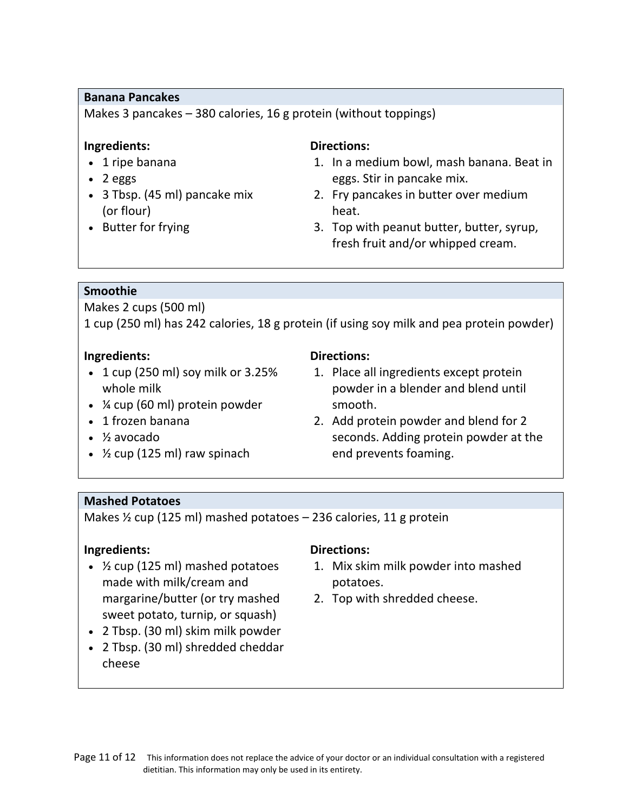#### **Banana Pancakes**

Makes 3 pancakes – 380 calories, 16 g protein (without toppings)

#### **Ingredients:**

- 1 ripe banana
- $\bullet$  2 eggs
- 3 Tbsp. (45 ml) pancake mix (or flour)
- Butter for frying

### **Directions:**

- 1. In a medium bowl, mash banana. Beat in eggs. Stir in pancake mix.
- 2. Fry pancakes in butter over medium heat.
- 3. Top with peanut butter, butter, syrup, fresh fruit and/or whipped cream.

### **Smoothie**

Makes 2 cups (500 ml)

1 cup (250 ml) has 242 calories, 18 g protein (if using soy milk and pea protein powder)

#### **Ingredients:**

- $\cdot$  1 cup (250 ml) soy milk or 3.25% whole milk
- ¼ cup (60 ml) protein powder
- 1 frozen banana
- ½ avocado
- $\cdot$  % cup (125 ml) raw spinach

# **Directions:**

- 1. Place all ingredients except protein powder in a blender and blend until smooth.
- 2. Add protein powder and blend for 2 seconds. Adding protein powder at the end prevents foaming.

### **Mashed Potatoes**

Makes  $\frac{1}{2}$  cup (125 ml) mashed potatoes – 236 calories, 11 g protein

### **Ingredients:**

- $\cdot$  % cup (125 ml) mashed potatoes made with milk/cream and margarine/butter (or try mashed sweet potato, turnip, or squash)
- 2 Tbsp. (30 ml) skim milk powder
- 2 Tbsp. (30 ml) shredded cheddar cheese

### **Directions:**

- 1. Mix skim milk powder into mashed potatoes.
- 2. Top with shredded cheese.